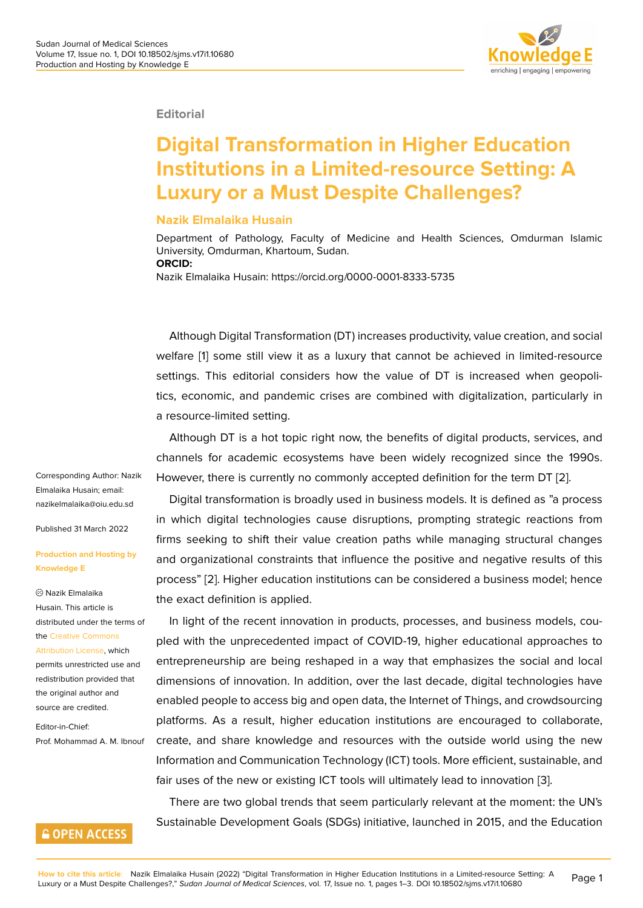

#### **Editorial**

# **Digital Transformation in Higher Education Institutions in a Limited-resource Setting: A Luxury or a Must Despite Challenges?**

### **Nazik Elmalaika Husain**

Department of Pathology, Faculty of Medicine and Health Sciences, Omdurman Islamic University, Omdurman, Khartoum, Sudan. **ORCID:**

Nazik Elmalaika Husain: https://orcid.org/0000-0001-8333-5735

Although Digital Transformation (DT) increases productivity, value creation, and social welfare [1] some still view it as a luxury that cannot be achieved in limited-resource settings. This editorial considers how the value of DT is increased when geopolitics, economic, and pandemic crises are combined with digitalization, particularly in a resour[ce](#page-2-0)-limited setting.

Although DT is a hot topic right now, the benefits of digital products, services, and channels for academic ecosystems have been widely recognized since the 1990s. However, there is currently no commonly accepted definition for the term DT [2].

Digital transformation is broadly used in business models. It is defined as "a process in which digital technologies cause disruptions, prompting strategic reactions from firms seeking to shift their value creation paths while managing structural [ch](#page-2-1)anges and organizational constraints that influence the positive and negative results of this process" [2]. Higher education institutions can be considered a business model; hence the exact definition is applied.

In light of the recent innovation in products, processes, and business models, coupled with [th](#page-2-1)e unprecedented impact of COVID-19, higher educational approaches to entrepreneurship are being reshaped in a way that emphasizes the social and local dimensions of innovation. In addition, over the last decade, digital technologies have enabled people to access big and open data, the Internet of Things, and crowdsourcing platforms. As a result, higher education institutions are encouraged to collaborate, create, and share knowledge and resources with the outside world using the new Information and Communication Technology (ICT) tools. More efficient, sustainable, and fair uses of the new or existing ICT tools will ultimately lead to innovation [3].

There are two global trends that seem particularly relevant at the moment: the UN's Sustainable Development Goals (SDGs) initiative, launched in 2015, and the Education

Corresponding Author: Nazik Elmalaika Husain; email: nazikelmalaika@oiu.edu.sd

Published 31 March 2022

#### **[Production and Hosting by](mailto:nazikelmalaika@oiu.edu.sd) Knowledge E**

Nazik Elmalaika Husain. This article is distributed under the terms of the Creative Commons Attribution License, which

permits unrestricted use and redistribution provided that the [original author and](https://creativecommons.org/licenses/by/4.0/) [source are credited](https://creativecommons.org/licenses/by/4.0/).

Editor-in-Chief: Prof. Mohammad A. M. Ibnouf

## **GOPEN ACCESS**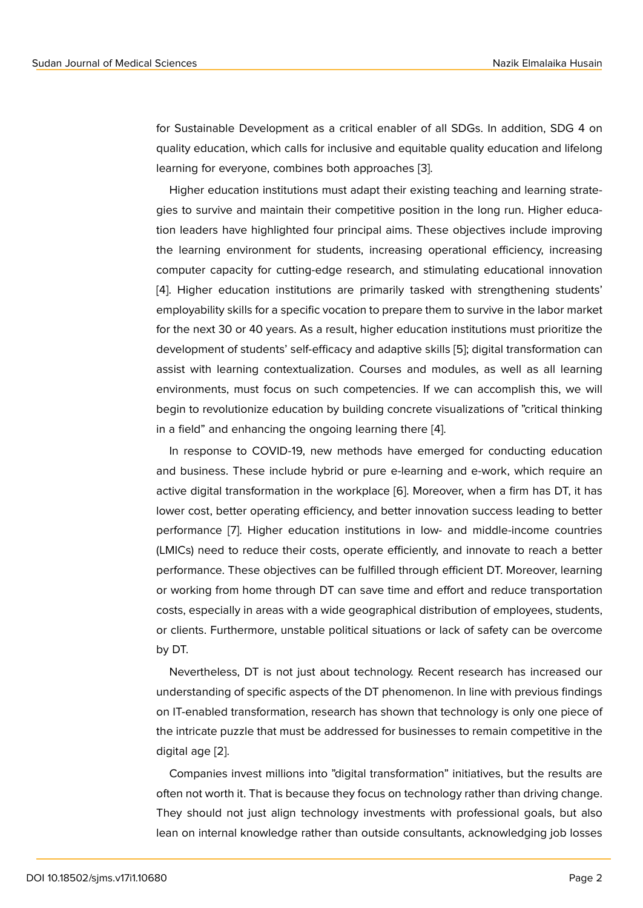for Sustainable Development as a critical enabler of all SDGs. In addition, SDG 4 on quality education, which calls for inclusive and equitable quality education and lifelong learning for everyone, combines both approaches [3].

Higher education institutions must adapt their existing teaching and learning strategies to survive and maintain their competitive position in the long run. Higher education leaders have highlighted four principal aims. [Th](#page-2-2)ese objectives include improving the learning environment for students, increasing operational efficiency, increasing computer capacity for cutting-edge research, and stimulating educational innovation [4]. Higher education institutions are primarily tasked with strengthening students' employability skills for a specific vocation to prepare them to survive in the labor market for the next 30 or 40 years. As a result, higher education institutions must prioritize the [de](#page-2-3)velopment of students' self-efficacy and adaptive skills [5]; digital transformation can assist with learning contextualization. Courses and modules, as well as all learning environments, must focus on such competencies. If we can accomplish this, we will begin to revolutionize education by building concrete visu[al](#page-2-4)izations of "critical thinking in a field" and enhancing the ongoing learning there [4].

In response to COVID-19, new methods have emerged for conducting education and business. These include hybrid or pure e-learning and e-work, which require an active digital transformation in the workplace [6]. Mor[eo](#page-2-3)ver, when a firm has DT, it has lower cost, better operating efficiency, and better innovation success leading to better performance [7]. Higher education institutions in low- and middle-income countries (LMICs) need to reduce their costs, operate e[ffic](#page-2-5)iently, and innovate to reach a better performance. These objectives can be fulfilled through efficient DT. Moreover, learning or working fro[m](#page-2-6) home through DT can save time and effort and reduce transportation costs, especially in areas with a wide geographical distribution of employees, students, or clients. Furthermore, unstable political situations or lack of safety can be overcome by DT.

Nevertheless, DT is not just about technology. Recent research has increased our understanding of specific aspects of the DT phenomenon. In line with previous findings on IT-enabled transformation, research has shown that technology is only one piece of the intricate puzzle that must be addressed for businesses to remain competitive in the digital age [2].

Companies invest millions into "digital transformation" initiatives, but the results are often not worth it. That is because they focus on technology rather than driving change. They shoul[d](#page-2-1) not just align technology investments with professional goals, but also lean on internal knowledge rather than outside consultants, acknowledging job losses